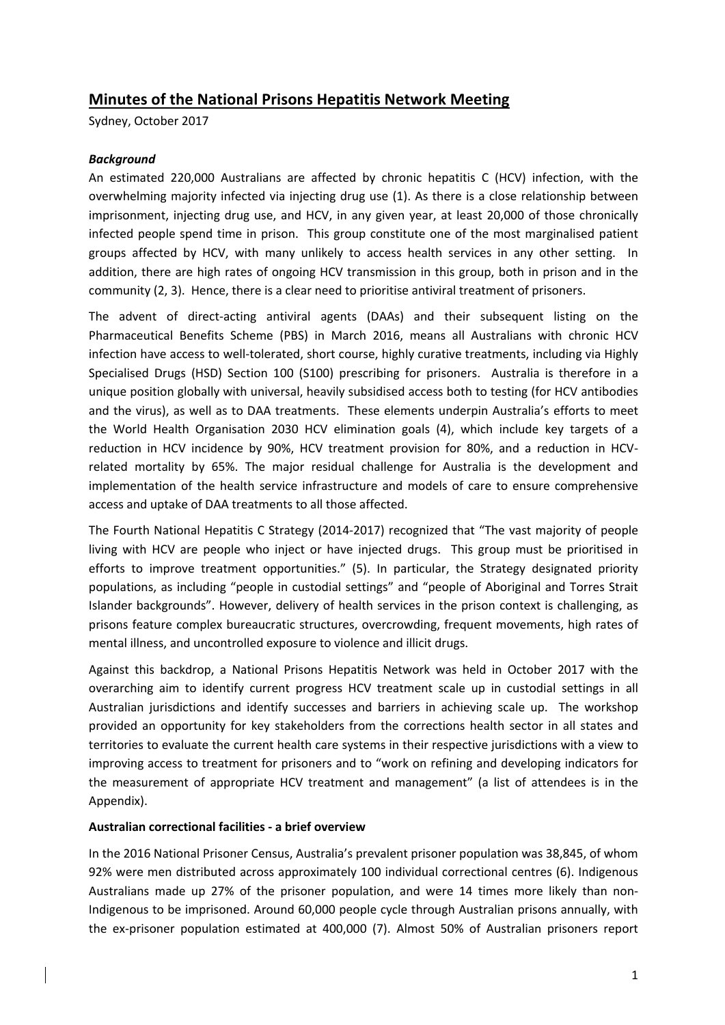# **Minutes of the National Prisons Hepatitis Network Meeting**

Sydney, October 2017

## *Background*

An estimated 220,000 Australians are affected by chronic hepatitis C (HCV) infection, with the overwhelming majority infected via injecting drug use (1). As there is a close relationship between imprisonment, injecting drug use, and HCV, in any given year, at least 20,000 of those chronically infected people spend time in prison. This group constitute one of the most marginalised patient groups affected by HCV, with many unlikely to access health services in any other setting. In addition, there are high rates of ongoing HCV transmission in this group, both in prison and in the community (2, 3). Hence, there is a clear need to prioritise antiviral treatment of prisoners.

The advent of direct-acting antiviral agents (DAAs) and their subsequent listing on the Pharmaceutical Benefits Scheme (PBS) in March 2016, means all Australians with chronic HCV infection have access to well-tolerated, short course, highly curative treatments, including via Highly Specialised Drugs (HSD) Section 100 (S100) prescribing for prisoners. Australia is therefore in a unique position globally with universal, heavily subsidised access both to testing (for HCV antibodies and the virus), as well as to DAA treatments. These elements underpin Australia's efforts to meet the World Health Organisation 2030 HCV elimination goals (4), which include key targets of a reduction in HCV incidence by 90%, HCV treatment provision for 80%, and a reduction in HCVrelated mortality by 65%. The major residual challenge for Australia is the development and implementation of the health service infrastructure and models of care to ensure comprehensive access and uptake of DAA treatments to all those affected.

The Fourth National Hepatitis C Strategy (2014-2017) recognized that "The vast majority of people living with HCV are people who inject or have injected drugs. This group must be prioritised in efforts to improve treatment opportunities." (5). In particular, the Strategy designated priority populations, as including "people in custodial settings" and "people of Aboriginal and Torres Strait Islander backgrounds". However, delivery of health services in the prison context is challenging, as prisons feature complex bureaucratic structures, overcrowding, frequent movements, high rates of mental illness, and uncontrolled exposure to violence and illicit drugs.

Against this backdrop, a National Prisons Hepatitis Network was held in October 2017 with the overarching aim to identify current progress HCV treatment scale up in custodial settings in all Australian jurisdictions and identify successes and barriers in achieving scale up. The workshop provided an opportunity for key stakeholders from the corrections health sector in all states and territories to evaluate the current health care systems in their respective jurisdictions with a view to improving access to treatment for prisoners and to "work on refining and developing indicators for the measurement of appropriate HCV treatment and management" (a list of attendees is in the Appendix).

### **Australian correctional facilities - a brief overview**

In the 2016 National Prisoner Census, Australia's prevalent prisoner population was 38,845, of whom 92% were men distributed across approximately 100 individual correctional centres (6). Indigenous Australians made up 27% of the prisoner population, and were 14 times more likely than non-Indigenous to be imprisoned. Around 60,000 people cycle through Australian prisons annually, with the ex-prisoner population estimated at 400,000 (7). Almost 50% of Australian prisoners report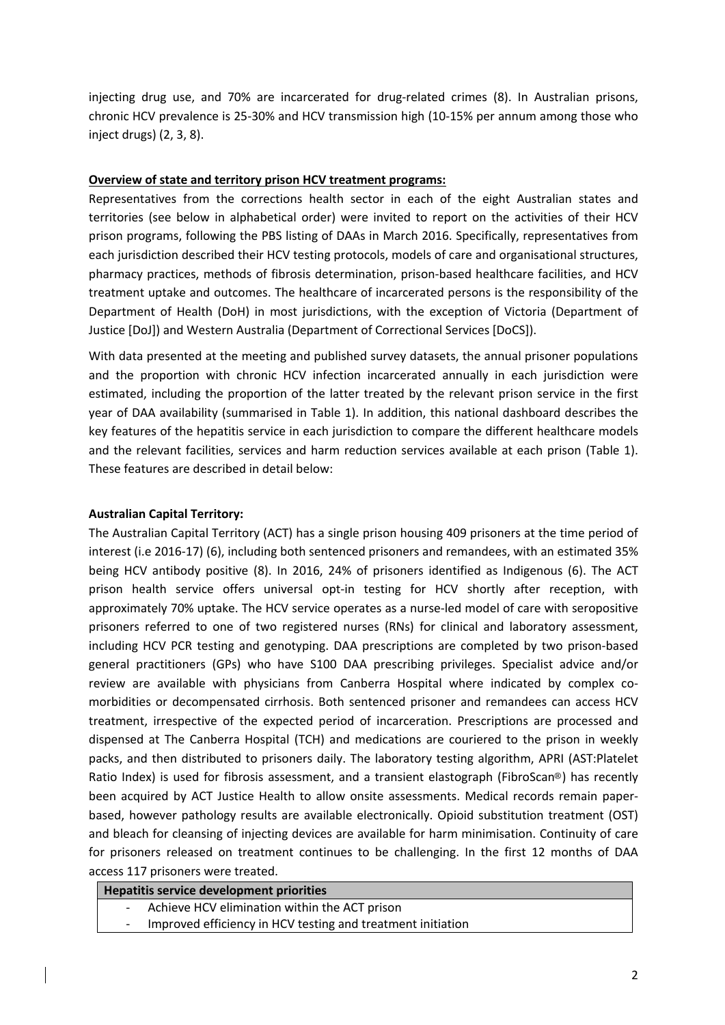injecting drug use, and 70% are incarcerated for drug-related crimes (8). In Australian prisons, chronic HCV prevalence is 25-30% and HCV transmission high (10-15% per annum among those who inject drugs) (2, 3, 8).

### **Overview of state and territory prison HCV treatment programs:**

Representatives from the corrections health sector in each of the eight Australian states and territories (see below in alphabetical order) were invited to report on the activities of their HCV prison programs, following the PBS listing of DAAs in March 2016. Specifically, representatives from each jurisdiction described their HCV testing protocols, models of care and organisational structures, pharmacy practices, methods of fibrosis determination, prison-based healthcare facilities, and HCV treatment uptake and outcomes. The healthcare of incarcerated persons is the responsibility of the Department of Health (DoH) in most jurisdictions, with the exception of Victoria (Department of Justice [DoJ]) and Western Australia (Department of Correctional Services [DoCS]).

With data presented at the meeting and published survey datasets, the annual prisoner populations and the proportion with chronic HCV infection incarcerated annually in each jurisdiction were estimated, including the proportion of the latter treated by the relevant prison service in the first year of DAA availability (summarised in Table 1). In addition, this national dashboard describes the key features of the hepatitis service in each jurisdiction to compare the different healthcare models and the relevant facilities, services and harm reduction services available at each prison (Table 1). These features are described in detail below:

#### **Australian Capital Territory:**

The Australian Capital Territory (ACT) has a single prison housing 409 prisoners at the time period of interest (i.e 2016-17) (6), including both sentenced prisoners and remandees, with an estimated 35% being HCV antibody positive (8). In 2016, 24% of prisoners identified as Indigenous (6). The ACT prison health service offers universal opt-in testing for HCV shortly after reception, with approximately 70% uptake. The HCV service operates as a nurse-led model of care with seropositive prisoners referred to one of two registered nurses (RNs) for clinical and laboratory assessment, including HCV PCR testing and genotyping. DAA prescriptions are completed by two prison-based general practitioners (GPs) who have S100 DAA prescribing privileges. Specialist advice and/or review are available with physicians from Canberra Hospital where indicated by complex comorbidities or decompensated cirrhosis. Both sentenced prisoner and remandees can access HCV treatment, irrespective of the expected period of incarceration. Prescriptions are processed and dispensed at The Canberra Hospital (TCH) and medications are couriered to the prison in weekly packs, and then distributed to prisoners daily. The laboratory testing algorithm, APRI (AST:Platelet Ratio Index) is used for fibrosis assessment, and a transient elastograph (FibroScan®) has recently been acquired by ACT Justice Health to allow onsite assessments. Medical records remain paperbased, however pathology results are available electronically. Opioid substitution treatment (OST) and bleach for cleansing of injecting devices are available for harm minimisation. Continuity of care for prisoners released on treatment continues to be challenging. In the first 12 months of DAA access 117 prisoners were treated.

| Hepatitis service development priorities |                          |                                                             |  |  |  |  |
|------------------------------------------|--------------------------|-------------------------------------------------------------|--|--|--|--|
|                                          |                          | Achieve HCV elimination within the ACT prison               |  |  |  |  |
|                                          | $\overline{\phantom{0}}$ | Improved efficiency in HCV testing and treatment initiation |  |  |  |  |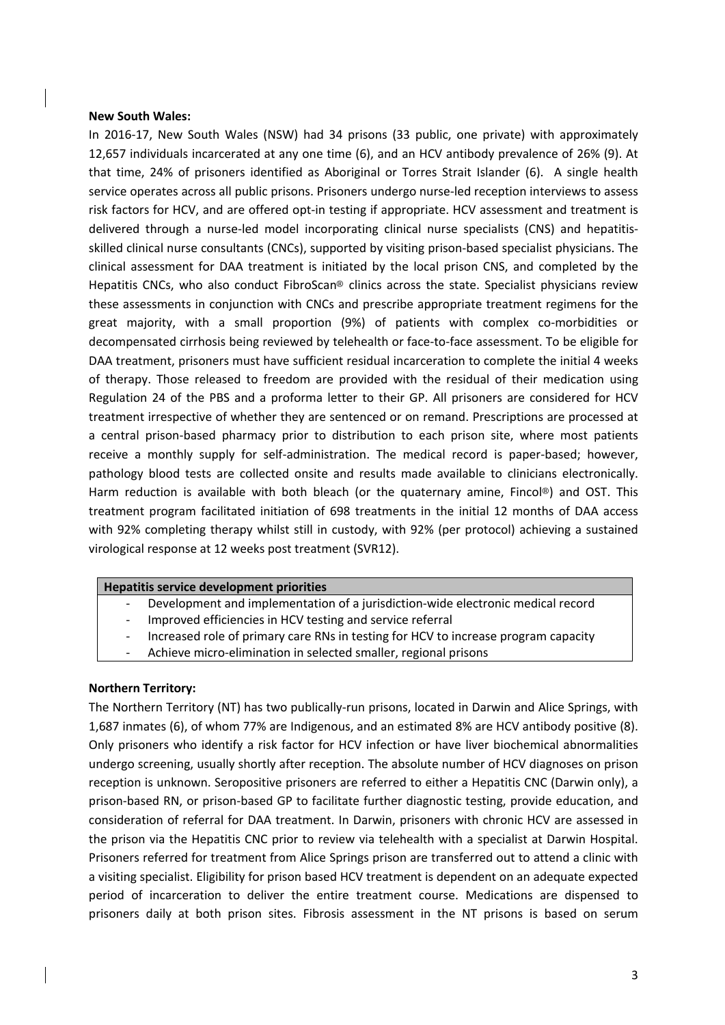#### **New South Wales:**

In 2016-17, New South Wales (NSW) had 34 prisons (33 public, one private) with approximately 12,657 individuals incarcerated at any one time (6), and an HCV antibody prevalence of 26% (9). At that time, 24% of prisoners identified as Aboriginal or Torres Strait Islander (6). A single health service operates across all public prisons. Prisoners undergo nurse-led reception interviews to assess risk factors for HCV, and are offered opt-in testing if appropriate. HCV assessment and treatment is delivered through a nurse-led model incorporating clinical nurse specialists (CNS) and hepatitisskilled clinical nurse consultants (CNCs), supported by visiting prison-based specialist physicians. The clinical assessment for DAA treatment is initiated by the local prison CNS, and completed by the Hepatitis CNCs, who also conduct FibroScan® clinics across the state. Specialist physicians review these assessments in conjunction with CNCs and prescribe appropriate treatment regimens for the great majority, with a small proportion (9%) of patients with complex co-morbidities or decompensated cirrhosis being reviewed by telehealth or face-to-face assessment. To be eligible for DAA treatment, prisoners must have sufficient residual incarceration to complete the initial 4 weeks of therapy. Those released to freedom are provided with the residual of their medication using Regulation 24 of the PBS and a proforma letter to their GP. All prisoners are considered for HCV treatment irrespective of whether they are sentenced or on remand. Prescriptions are processed at a central prison-based pharmacy prior to distribution to each prison site, where most patients receive a monthly supply for self-administration. The medical record is paper-based; however, pathology blood tests are collected onsite and results made available to clinicians electronically. Harm reduction is available with both bleach (or the quaternary amine, Fincol®) and OST. This treatment program facilitated initiation of 698 treatments in the initial 12 months of DAA access with 92% completing therapy whilst still in custody, with 92% (per protocol) achieving a sustained virological response at 12 weeks post treatment (SVR12).

#### **Hepatitis service development priorities**

- Development and implementation of a jurisdiction-wide electronic medical record
- Improved efficiencies in HCV testing and service referral
- Increased role of primary care RNs in testing for HCV to increase program capacity
- Achieve micro-elimination in selected smaller, regional prisons

### **Northern Territory:**

The Northern Territory (NT) has two publically-run prisons, located in Darwin and Alice Springs, with 1,687 inmates (6), of whom 77% are Indigenous, and an estimated 8% are HCV antibody positive (8). Only prisoners who identify a risk factor for HCV infection or have liver biochemical abnormalities undergo screening, usually shortly after reception. The absolute number of HCV diagnoses on prison reception is unknown. Seropositive prisoners are referred to either a Hepatitis CNC (Darwin only), a prison-based RN, or prison-based GP to facilitate further diagnostic testing, provide education, and consideration of referral for DAA treatment. In Darwin, prisoners with chronic HCV are assessed in the prison via the Hepatitis CNC prior to review via telehealth with a specialist at Darwin Hospital. Prisoners referred for treatment from Alice Springs prison are transferred out to attend a clinic with a visiting specialist. Eligibility for prison based HCV treatment is dependent on an adequate expected period of incarceration to deliver the entire treatment course. Medications are dispensed to prisoners daily at both prison sites. Fibrosis assessment in the NT prisons is based on serum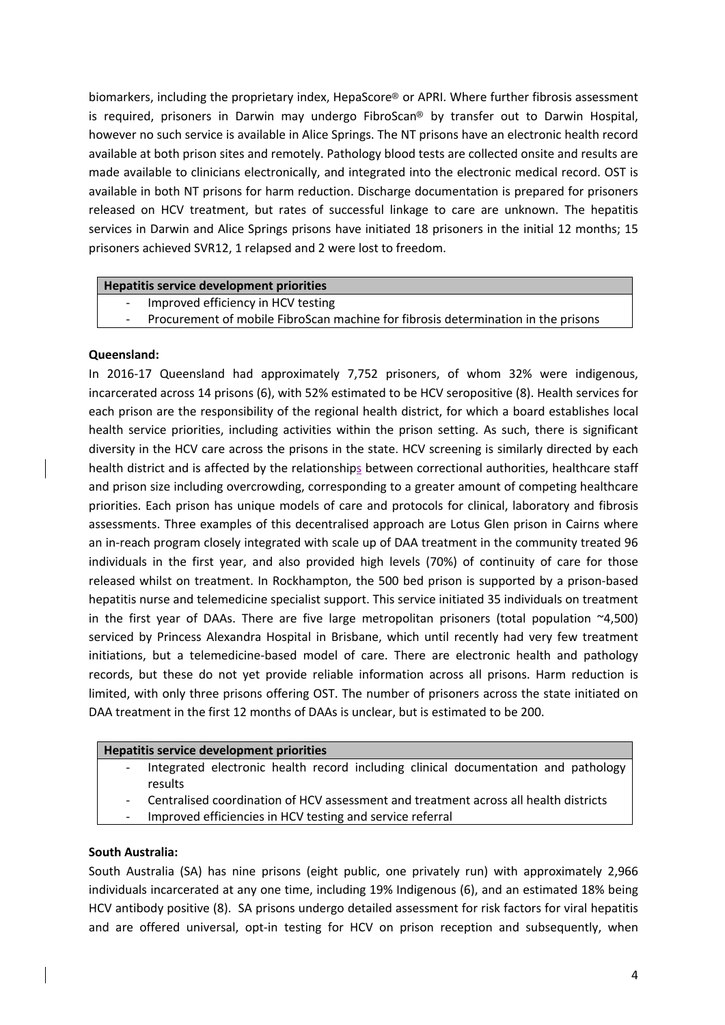biomarkers, including the proprietary index, HepaScore® or APRI. Where further fibrosis assessment is required, prisoners in Darwin may undergo FibroScan® by transfer out to Darwin Hospital, however no such service is available in Alice Springs. The NT prisons have an electronic health record available at both prison sites and remotely. Pathology blood tests are collected onsite and results are made available to clinicians electronically, and integrated into the electronic medical record. OST is available in both NT prisons for harm reduction. Discharge documentation is prepared for prisoners released on HCV treatment, but rates of successful linkage to care are unknown. The hepatitis services in Darwin and Alice Springs prisons have initiated 18 prisoners in the initial 12 months; 15 prisoners achieved SVR12, 1 relapsed and 2 were lost to freedom.

#### **Hepatitis service development priorities**

- Improved efficiency in HCV testing
- Procurement of mobile FibroScan machine for fibrosis determination in the prisons

#### **Queensland:**

In 2016-17 Queensland had approximately 7,752 prisoners, of whom 32% were indigenous, incarcerated across 14 prisons (6), with 52% estimated to be HCV seropositive (8). Health services for each prison are the responsibility of the regional health district, for which a board establishes local health service priorities, including activities within the prison setting. As such, there is significant diversity in the HCV care across the prisons in the state. HCV screening is similarly directed by each health district and is affected by the relationships between correctional authorities, healthcare staff and prison size including overcrowding, corresponding to a greater amount of competing healthcare priorities. Each prison has unique models of care and protocols for clinical, laboratory and fibrosis assessments. Three examples of this decentralised approach are Lotus Glen prison in Cairns where an in-reach program closely integrated with scale up of DAA treatment in the community treated 96 individuals in the first year, and also provided high levels (70%) of continuity of care for those released whilst on treatment. In Rockhampton, the 500 bed prison is supported by a prison-based hepatitis nurse and telemedicine specialist support. This service initiated 35 individuals on treatment in the first year of DAAs. There are five large metropolitan prisoners (total population  $\sim$ 4,500) serviced by Princess Alexandra Hospital in Brisbane, which until recently had very few treatment initiations, but a telemedicine-based model of care. There are electronic health and pathology records, but these do not yet provide reliable information across all prisons. Harm reduction is limited, with only three prisons offering OST. The number of prisoners across the state initiated on DAA treatment in the first 12 months of DAAs is unclear, but is estimated to be 200.

#### **Hepatitis service development priorities**

- Integrated electronic health record including clinical documentation and pathology results
- Centralised coordination of HCV assessment and treatment across all health districts
- Improved efficiencies in HCV testing and service referral

### **South Australia:**

South Australia (SA) has nine prisons (eight public, one privately run) with approximately 2,966 individuals incarcerated at any one time, including 19% Indigenous (6), and an estimated 18% being HCV antibody positive (8). SA prisons undergo detailed assessment for risk factors for viral hepatitis and are offered universal, opt-in testing for HCV on prison reception and subsequently, when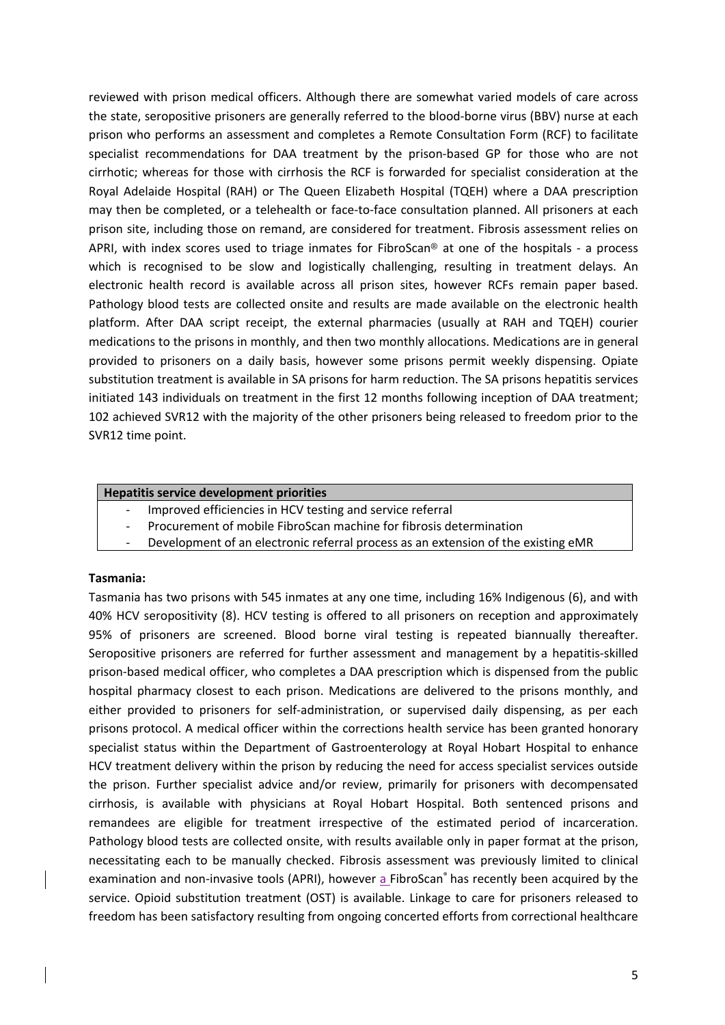reviewed with prison medical officers. Although there are somewhat varied models of care across the state, seropositive prisoners are generally referred to the blood-borne virus (BBV) nurse at each prison who performs an assessment and completes a Remote Consultation Form (RCF) to facilitate specialist recommendations for DAA treatment by the prison-based GP for those who are not cirrhotic; whereas for those with cirrhosis the RCF is forwarded for specialist consideration at the Royal Adelaide Hospital (RAH) or The Queen Elizabeth Hospital (TQEH) where a DAA prescription may then be completed, or a telehealth or face-to-face consultation planned. All prisoners at each prison site, including those on remand, are considered for treatment. Fibrosis assessment relies on APRI, with index scores used to triage inmates for FibroScan® at one of the hospitals - a process which is recognised to be slow and logistically challenging, resulting in treatment delays. An electronic health record is available across all prison sites, however RCFs remain paper based. Pathology blood tests are collected onsite and results are made available on the electronic health platform. After DAA script receipt, the external pharmacies (usually at RAH and TQEH) courier medications to the prisons in monthly, and then two monthly allocations. Medications are in general provided to prisoners on a daily basis, however some prisons permit weekly dispensing. Opiate substitution treatment is available in SA prisons for harm reduction. The SA prisons hepatitis services initiated 143 individuals on treatment in the first 12 months following inception of DAA treatment; 102 achieved SVR12 with the majority of the other prisoners being released to freedom prior to the SVR12 time point.

#### **Hepatitis service development priorities**

- Improved efficiencies in HCV testing and service referral
- Procurement of mobile FibroScan machine for fibrosis determination
- Development of an electronic referral process as an extension of the existing eMR

### **Tasmania:**

Tasmania has two prisons with 545 inmates at any one time, including 16% Indigenous (6), and with 40% HCV seropositivity (8). HCV testing is offered to all prisoners on reception and approximately 95% of prisoners are screened. Blood borne viral testing is repeated biannually thereafter. Seropositive prisoners are referred for further assessment and management by a hepatitis-skilled prison-based medical officer, who completes a DAA prescription which is dispensed from the public hospital pharmacy closest to each prison. Medications are delivered to the prisons monthly, and either provided to prisoners for self-administration, or supervised daily dispensing, as per each prisons protocol. A medical officer within the corrections health service has been granted honorary specialist status within the Department of Gastroenterology at Royal Hobart Hospital to enhance HCV treatment delivery within the prison by reducing the need for access specialist services outside the prison. Further specialist advice and/or review, primarily for prisoners with decompensated cirrhosis, is available with physicians at Royal Hobart Hospital. Both sentenced prisons and remandees are eligible for treatment irrespective of the estimated period of incarceration. Pathology blood tests are collected onsite, with results available only in paper format at the prison, necessitating each to be manually checked. Fibrosis assessment was previously limited to clinical examination and non-invasive tools (APRI), however a FibroScan® has recently been acquired by the service. Opioid substitution treatment (OST) is available. Linkage to care for prisoners released to freedom has been satisfactory resulting from ongoing concerted efforts from correctional healthcare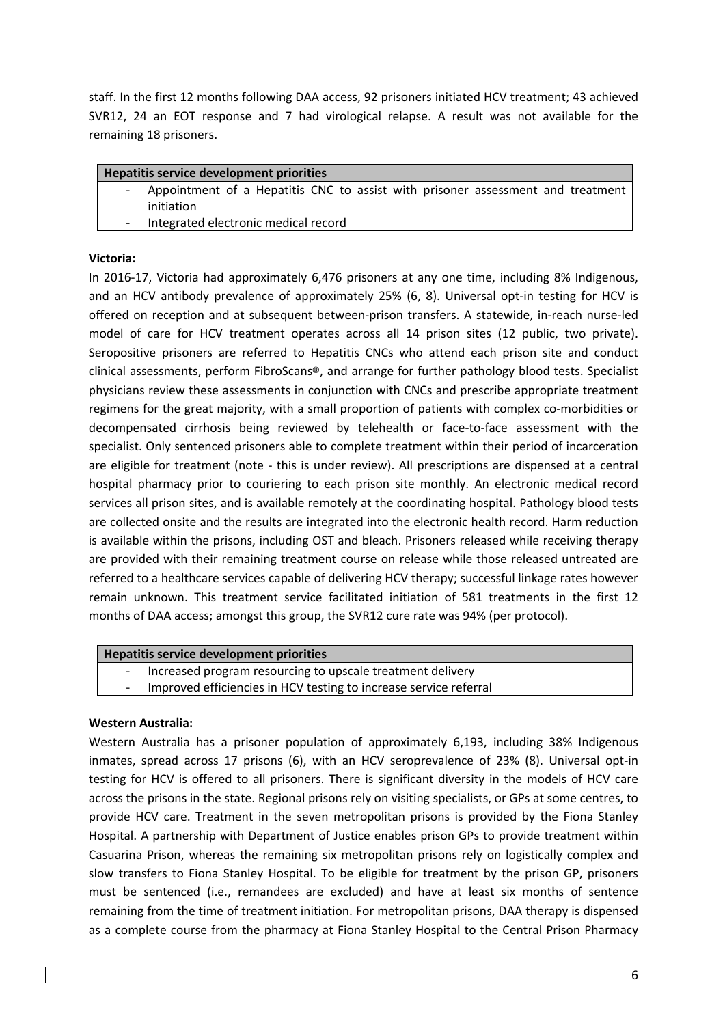staff. In the first 12 months following DAA access, 92 prisoners initiated HCV treatment; 43 achieved SVR12, 24 an EOT response and 7 had virological relapse. A result was not available for the remaining 18 prisoners.

| Hepatitis service development priorities |                                                                                 |  |  |  |  |
|------------------------------------------|---------------------------------------------------------------------------------|--|--|--|--|
|                                          | Appointment of a Hepatitis CNC to assist with prisoner assessment and treatment |  |  |  |  |
|                                          | initiation                                                                      |  |  |  |  |
|                                          | Integrated electronic medical record                                            |  |  |  |  |

### **Victoria:**

In 2016-17, Victoria had approximately 6,476 prisoners at any one time, including 8% Indigenous, and an HCV antibody prevalence of approximately 25% (6, 8). Universal opt-in testing for HCV is offered on reception and at subsequent between-prison transfers. A statewide, in-reach nurse-led model of care for HCV treatment operates across all 14 prison sites (12 public, two private). Seropositive prisoners are referred to Hepatitis CNCs who attend each prison site and conduct clinical assessments, perform FibroScans®, and arrange for further pathology blood tests. Specialist physicians review these assessments in conjunction with CNCs and prescribe appropriate treatment regimens for the great majority, with a small proportion of patients with complex co-morbidities or decompensated cirrhosis being reviewed by telehealth or face-to-face assessment with the specialist. Only sentenced prisoners able to complete treatment within their period of incarceration are eligible for treatment (note - this is under review). All prescriptions are dispensed at a central hospital pharmacy prior to couriering to each prison site monthly. An electronic medical record services all prison sites, and is available remotely at the coordinating hospital. Pathology blood tests are collected onsite and the results are integrated into the electronic health record. Harm reduction is available within the prisons, including OST and bleach. Prisoners released while receiving therapy are provided with their remaining treatment course on release while those released untreated are referred to a healthcare services capable of delivering HCV therapy; successful linkage rates however remain unknown. This treatment service facilitated initiation of 581 treatments in the first 12 months of DAA access; amongst this group, the SVR12 cure rate was 94% (per protocol).

#### **Hepatitis service development priorities**

- Increased program resourcing to upscale treatment delivery
- Improved efficiencies in HCV testing to increase service referral

#### **Western Australia:**

Western Australia has a prisoner population of approximately 6,193, including 38% Indigenous inmates, spread across 17 prisons (6), with an HCV seroprevalence of 23% (8). Universal opt-in testing for HCV is offered to all prisoners. There is significant diversity in the models of HCV care across the prisons in the state. Regional prisons rely on visiting specialists, or GPs at some centres, to provide HCV care. Treatment in the seven metropolitan prisons is provided by the Fiona Stanley Hospital. A partnership with Department of Justice enables prison GPs to provide treatment within Casuarina Prison, whereas the remaining six metropolitan prisons rely on logistically complex and slow transfers to Fiona Stanley Hospital. To be eligible for treatment by the prison GP, prisoners must be sentenced (i.e., remandees are excluded) and have at least six months of sentence remaining from the time of treatment initiation. For metropolitan prisons, DAA therapy is dispensed as a complete course from the pharmacy at Fiona Stanley Hospital to the Central Prison Pharmacy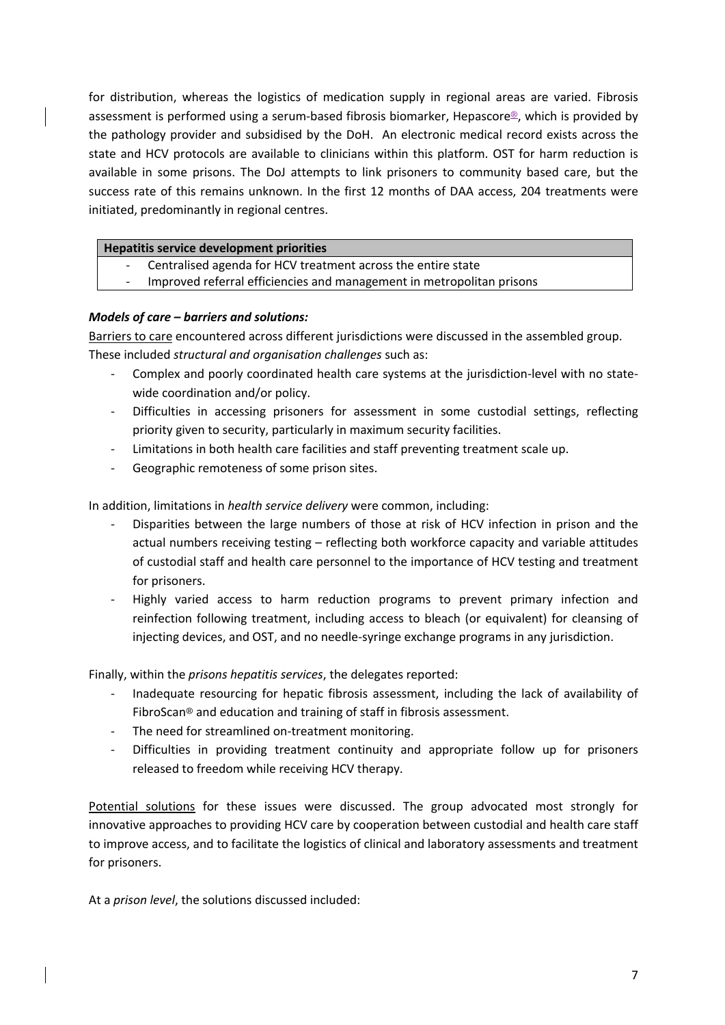for distribution, whereas the logistics of medication supply in regional areas are varied. Fibrosis assessment is performed using a serum-based fibrosis biomarker, Hepascore®, which is provided by the pathology provider and subsidised by the DoH. An electronic medical record exists across the state and HCV protocols are available to clinicians within this platform. OST for harm reduction is available in some prisons. The DoJ attempts to link prisoners to community based care, but the success rate of this remains unknown. In the first 12 months of DAA access, 204 treatments were initiated, predominantly in regional centres.

| Hepatitis service development priorities |                                                                       |  |  |  |  |  |
|------------------------------------------|-----------------------------------------------------------------------|--|--|--|--|--|
|                                          | - Centralised agenda for HCV treatment across the entire state        |  |  |  |  |  |
| $\overline{\phantom{0}}$                 | Improved referral efficiencies and management in metropolitan prisons |  |  |  |  |  |

## *Models of care – barriers and solutions:*

Barriers to care encountered across different jurisdictions were discussed in the assembled group. These included *structural and organisation challenges* such as:

- Complex and poorly coordinated health care systems at the jurisdiction-level with no statewide coordination and/or policy.
- Difficulties in accessing prisoners for assessment in some custodial settings, reflecting priority given to security, particularly in maximum security facilities.
- Limitations in both health care facilities and staff preventing treatment scale up.
- Geographic remoteness of some prison sites.

In addition, limitations in *health service delivery* were common, including:

- Disparities between the large numbers of those at risk of HCV infection in prison and the actual numbers receiving testing – reflecting both workforce capacity and variable attitudes of custodial staff and health care personnel to the importance of HCV testing and treatment for prisoners.
- Highly varied access to harm reduction programs to prevent primary infection and reinfection following treatment, including access to bleach (or equivalent) for cleansing of injecting devices, and OST, and no needle-syringe exchange programs in any jurisdiction.

Finally, within the *prisons hepatitis services*, the delegates reported:

- Inadequate resourcing for hepatic fibrosis assessment, including the lack of availability of FibroScan® and education and training of staff in fibrosis assessment.
- The need for streamlined on-treatment monitoring.
- Difficulties in providing treatment continuity and appropriate follow up for prisoners released to freedom while receiving HCV therapy.

Potential solutions for these issues were discussed. The group advocated most strongly for innovative approaches to providing HCV care by cooperation between custodial and health care staff to improve access, and to facilitate the logistics of clinical and laboratory assessments and treatment for prisoners.

At a *prison level*, the solutions discussed included: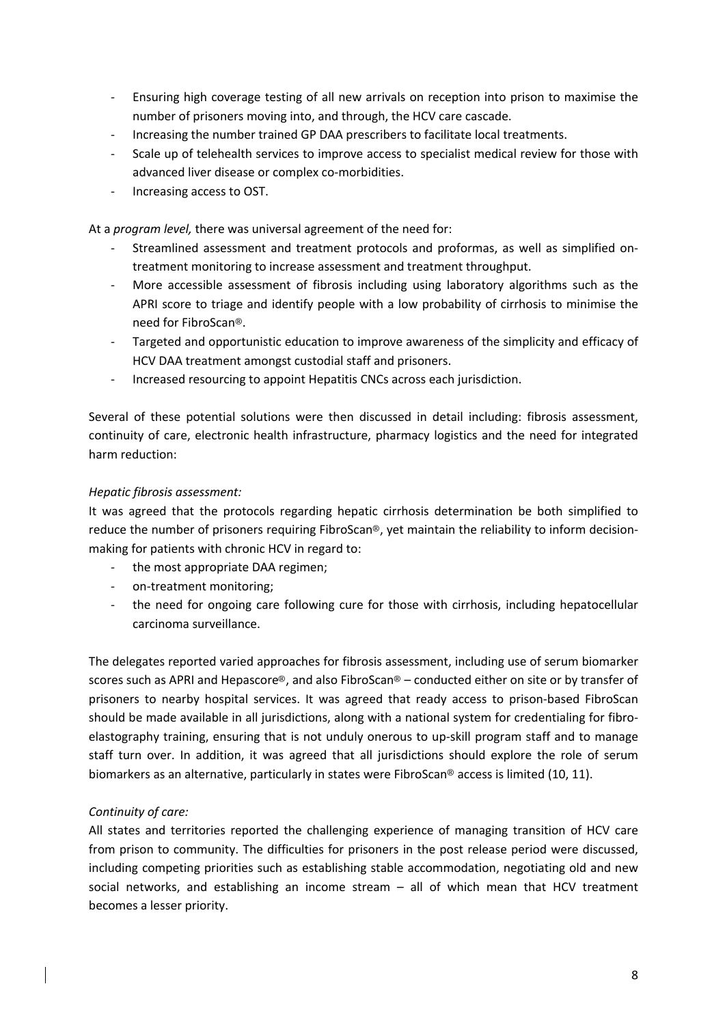- Ensuring high coverage testing of all new arrivals on reception into prison to maximise the number of prisoners moving into, and through, the HCV care cascade.
- Increasing the number trained GP DAA prescribers to facilitate local treatments.
- Scale up of telehealth services to improve access to specialist medical review for those with advanced liver disease or complex co-morbidities.
- Increasing access to OST.

At a *program level,* there was universal agreement of the need for:

- Streamlined assessment and treatment protocols and proformas, as well as simplified ontreatment monitoring to increase assessment and treatment throughput.
- More accessible assessment of fibrosis including using laboratory algorithms such as the APRI score to triage and identify people with a low probability of cirrhosis to minimise the need for FibroScan®.
- Targeted and opportunistic education to improve awareness of the simplicity and efficacy of HCV DAA treatment amongst custodial staff and prisoners.
- Increased resourcing to appoint Hepatitis CNCs across each jurisdiction.

Several of these potential solutions were then discussed in detail including: fibrosis assessment, continuity of care, electronic health infrastructure, pharmacy logistics and the need for integrated harm reduction:

### *Hepatic fibrosis assessment:*

It was agreed that the protocols regarding hepatic cirrhosis determination be both simplified to reduce the number of prisoners requiring FibroScan®, yet maintain the reliability to inform decisionmaking for patients with chronic HCV in regard to:

- the most appropriate DAA regimen;
- on-treatment monitoring;
- the need for ongoing care following cure for those with cirrhosis, including hepatocellular carcinoma surveillance.

The delegates reported varied approaches for fibrosis assessment, including use of serum biomarker scores such as APRI and Hepascore®, and also FibroScan® – conducted either on site or by transfer of prisoners to nearby hospital services. It was agreed that ready access to prison-based FibroScan should be made available in all jurisdictions, along with a national system for credentialing for fibroelastography training, ensuring that is not unduly onerous to up-skill program staff and to manage staff turn over. In addition, it was agreed that all jurisdictions should explore the role of serum biomarkers as an alternative, particularly in states were FibroScan® access is limited (10, 11).

## *Continuity of care:*

All states and territories reported the challenging experience of managing transition of HCV care from prison to community. The difficulties for prisoners in the post release period were discussed, including competing priorities such as establishing stable accommodation, negotiating old and new social networks, and establishing an income stream – all of which mean that HCV treatment becomes a lesser priority.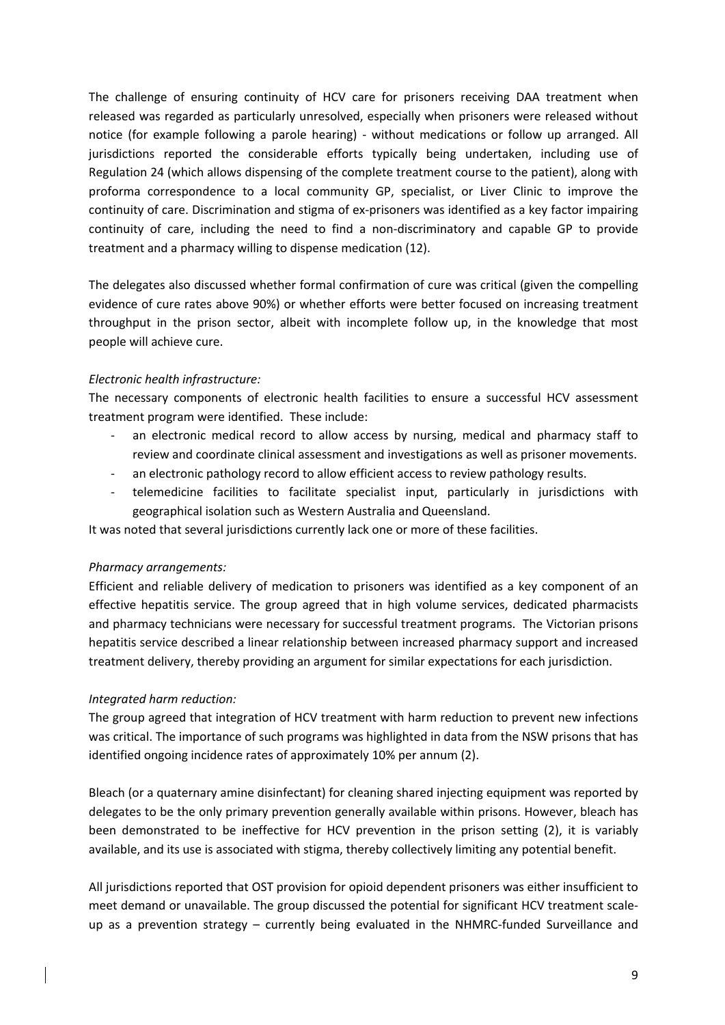The challenge of ensuring continuity of HCV care for prisoners receiving DAA treatment when released was regarded as particularly unresolved, especially when prisoners were released without notice (for example following a parole hearing) - without medications or follow up arranged. All jurisdictions reported the considerable efforts typically being undertaken, including use of Regulation 24 (which allows dispensing of the complete treatment course to the patient), along with proforma correspondence to a local community GP, specialist, or Liver Clinic to improve the continuity of care. Discrimination and stigma of ex-prisoners was identified as a key factor impairing continuity of care, including the need to find a non-discriminatory and capable GP to provide treatment and a pharmacy willing to dispense medication (12).

The delegates also discussed whether formal confirmation of cure was critical (given the compelling evidence of cure rates above 90%) or whether efforts were better focused on increasing treatment throughput in the prison sector, albeit with incomplete follow up, in the knowledge that most people will achieve cure.

### *Electronic health infrastructure:*

The necessary components of electronic health facilities to ensure a successful HCV assessment treatment program were identified. These include:

- an electronic medical record to allow access by nursing, medical and pharmacy staff to review and coordinate clinical assessment and investigations as well as prisoner movements.
- an electronic pathology record to allow efficient access to review pathology results.
- telemedicine facilities to facilitate specialist input, particularly in jurisdictions with geographical isolation such as Western Australia and Queensland.

It was noted that several jurisdictions currently lack one or more of these facilities.

### *Pharmacy arrangements:*

Efficient and reliable delivery of medication to prisoners was identified as a key component of an effective hepatitis service. The group agreed that in high volume services, dedicated pharmacists and pharmacy technicians were necessary for successful treatment programs. The Victorian prisons hepatitis service described a linear relationship between increased pharmacy support and increased treatment delivery, thereby providing an argument for similar expectations for each jurisdiction.

## *Integrated harm reduction:*

The group agreed that integration of HCV treatment with harm reduction to prevent new infections was critical. The importance of such programs was highlighted in data from the NSW prisons that has identified ongoing incidence rates of approximately 10% per annum (2).

Bleach (or a quaternary amine disinfectant) for cleaning shared injecting equipment was reported by delegates to be the only primary prevention generally available within prisons. However, bleach has been demonstrated to be ineffective for HCV prevention in the prison setting (2), it is variably available, and its use is associated with stigma, thereby collectively limiting any potential benefit.

All jurisdictions reported that OST provision for opioid dependent prisoners was either insufficient to meet demand or unavailable. The group discussed the potential for significant HCV treatment scaleup as a prevention strategy – currently being evaluated in the NHMRC-funded Surveillance and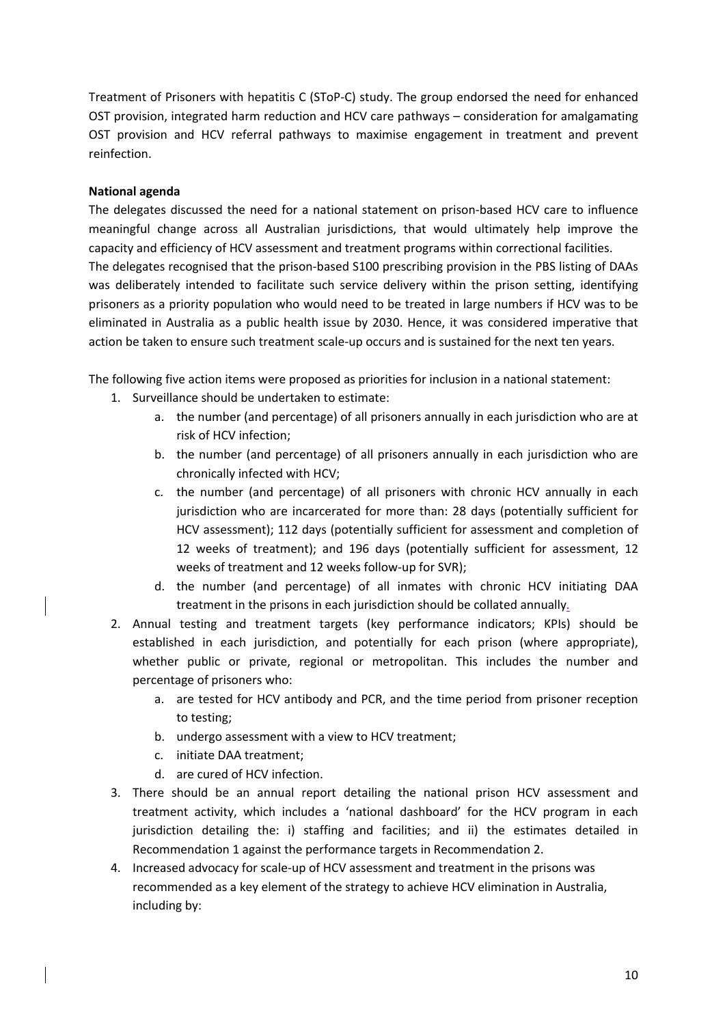Treatment of Prisoners with hepatitis C (SToP-C) study. The group endorsed the need for enhanced OST provision, integrated harm reduction and HCV care pathways – consideration for amalgamating OST provision and HCV referral pathways to maximise engagement in treatment and prevent reinfection.

### **National agenda**

The delegates discussed the need for a national statement on prison-based HCV care to influence meaningful change across all Australian jurisdictions, that would ultimately help improve the capacity and efficiency of HCV assessment and treatment programs within correctional facilities. The delegates recognised that the prison-based S100 prescribing provision in the PBS listing of DAAs was deliberately intended to facilitate such service delivery within the prison setting, identifying prisoners as a priority population who would need to be treated in large numbers if HCV was to be eliminated in Australia as a public health issue by 2030. Hence, it was considered imperative that action be taken to ensure such treatment scale-up occurs and is sustained for the next ten years.

The following five action items were proposed as priorities for inclusion in a national statement:

- 1. Surveillance should be undertaken to estimate:
	- a. the number (and percentage) of all prisoners annually in each jurisdiction who are at risk of HCV infection;
	- b. the number (and percentage) of all prisoners annually in each jurisdiction who are chronically infected with HCV;
	- c. the number (and percentage) of all prisoners with chronic HCV annually in each jurisdiction who are incarcerated for more than: 28 days (potentially sufficient for HCV assessment); 112 days (potentially sufficient for assessment and completion of 12 weeks of treatment); and 196 days (potentially sufficient for assessment, 12 weeks of treatment and 12 weeks follow-up for SVR);
	- d. the number (and percentage) of all inmates with chronic HCV initiating DAA treatment in the prisons in each jurisdiction should be collated annually.
- 2. Annual testing and treatment targets (key performance indicators; KPIs) should be established in each jurisdiction, and potentially for each prison (where appropriate), whether public or private, regional or metropolitan. This includes the number and percentage of prisoners who:
	- a. are tested for HCV antibody and PCR, and the time period from prisoner reception to testing;
	- b. undergo assessment with a view to HCV treatment;
	- c. initiate DAA treatment;
	- d. are cured of HCV infection.
- 3. There should be an annual report detailing the national prison HCV assessment and treatment activity, which includes a 'national dashboard' for the HCV program in each jurisdiction detailing the: i) staffing and facilities; and ii) the estimates detailed in Recommendation 1 against the performance targets in Recommendation 2.
- 4. Increased advocacy for scale-up of HCV assessment and treatment in the prisons was recommended as a key element of the strategy to achieve HCV elimination in Australia, including by: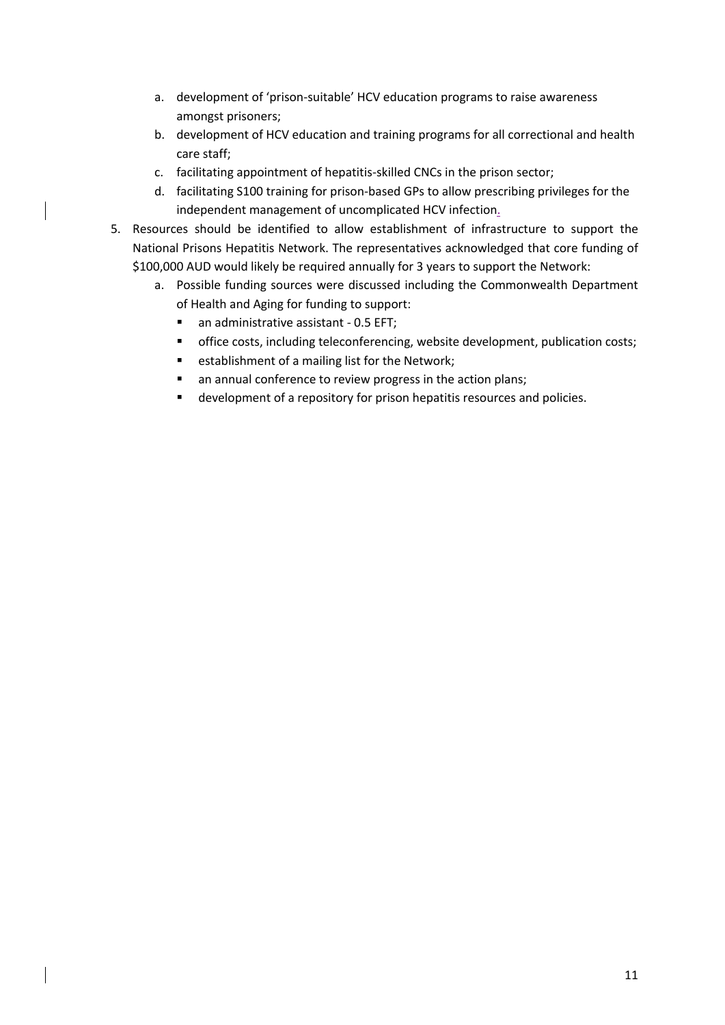- a. development of 'prison-suitable' HCV education programs to raise awareness amongst prisoners;
- b. development of HCV education and training programs for all correctional and health care staff;
- c. facilitating appointment of hepatitis-skilled CNCs in the prison sector;
- d. facilitating S100 training for prison-based GPs to allow prescribing privileges for the independent management of uncomplicated HCV infection.
- 5. Resources should be identified to allow establishment of infrastructure to support the National Prisons Hepatitis Network. The representatives acknowledged that core funding of \$100,000 AUD would likely be required annually for 3 years to support the Network:
	- a. Possible funding sources were discussed including the Commonwealth Department of Health and Aging for funding to support:
		- an administrative assistant 0.5 EFT;
		- office costs, including teleconferencing, website development, publication costs;
		- establishment of a mailing list for the Network;
		- an annual conference to review progress in the action plans;
		- development of a repository for prison hepatitis resources and policies.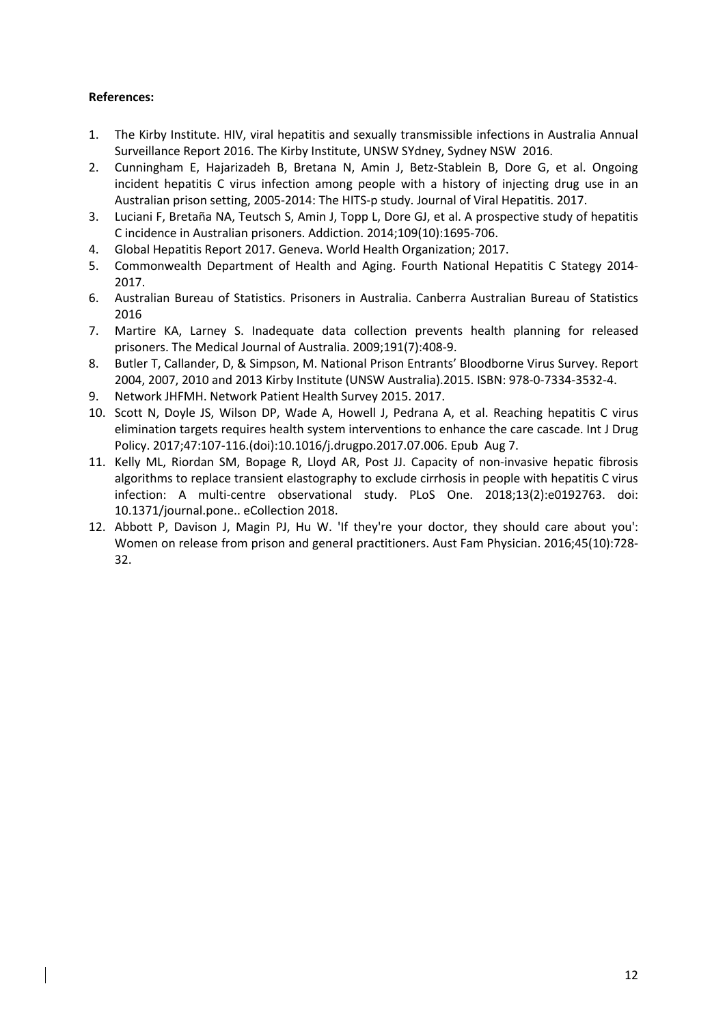## **References:**

- 1. The Kirby Institute. HIV, viral hepatitis and sexually transmissible infections in Australia Annual Surveillance Report 2016. The Kirby Institute, UNSW SYdney, Sydney NSW 2016.
- 2. Cunningham E, Hajarizadeh B, Bretana N, Amin J, Betz-Stablein B, Dore G, et al. Ongoing incident hepatitis C virus infection among people with a history of injecting drug use in an Australian prison setting, 2005-2014: The HITS-p study. Journal of Viral Hepatitis. 2017.
- 3. Luciani F, Bretaña NA, Teutsch S, Amin J, Topp L, Dore GJ, et al. A prospective study of hepatitis C incidence in Australian prisoners. Addiction. 2014;109(10):1695-706.
- 4. Global Hepatitis Report 2017. Geneva. World Health Organization; 2017.
- 5. Commonwealth Department of Health and Aging. Fourth National Hepatitis C Stategy 2014- 2017.
- 6. Australian Bureau of Statistics. Prisoners in Australia. Canberra Australian Bureau of Statistics 2016
- 7. Martire KA, Larney S. Inadequate data collection prevents health planning for released prisoners. The Medical Journal of Australia. 2009;191(7):408-9.
- 8. Butler T, Callander, D, & Simpson, M. National Prison Entrants' Bloodborne Virus Survey. Report 2004, 2007, 2010 and 2013 Kirby Institute (UNSW Australia).2015. ISBN: 978-0-7334-3532-4.
- 9. Network JHFMH. Network Patient Health Survey 2015. 2017.
- 10. Scott N, Doyle JS, Wilson DP, Wade A, Howell J, Pedrana A, et al. Reaching hepatitis C virus elimination targets requires health system interventions to enhance the care cascade. Int J Drug Policy. 2017;47:107-116.(doi):10.1016/j.drugpo.2017.07.006. Epub Aug 7.
- 11. Kelly ML, Riordan SM, Bopage R, Lloyd AR, Post JJ. Capacity of non-invasive hepatic fibrosis algorithms to replace transient elastography to exclude cirrhosis in people with hepatitis C virus infection: A multi-centre observational study. PLoS One. 2018;13(2):e0192763. doi: 10.1371/journal.pone.. eCollection 2018.
- 12. Abbott P, Davison J, Magin PJ, Hu W. 'If they're your doctor, they should care about you': Women on release from prison and general practitioners. Aust Fam Physician. 2016;45(10):728- 32.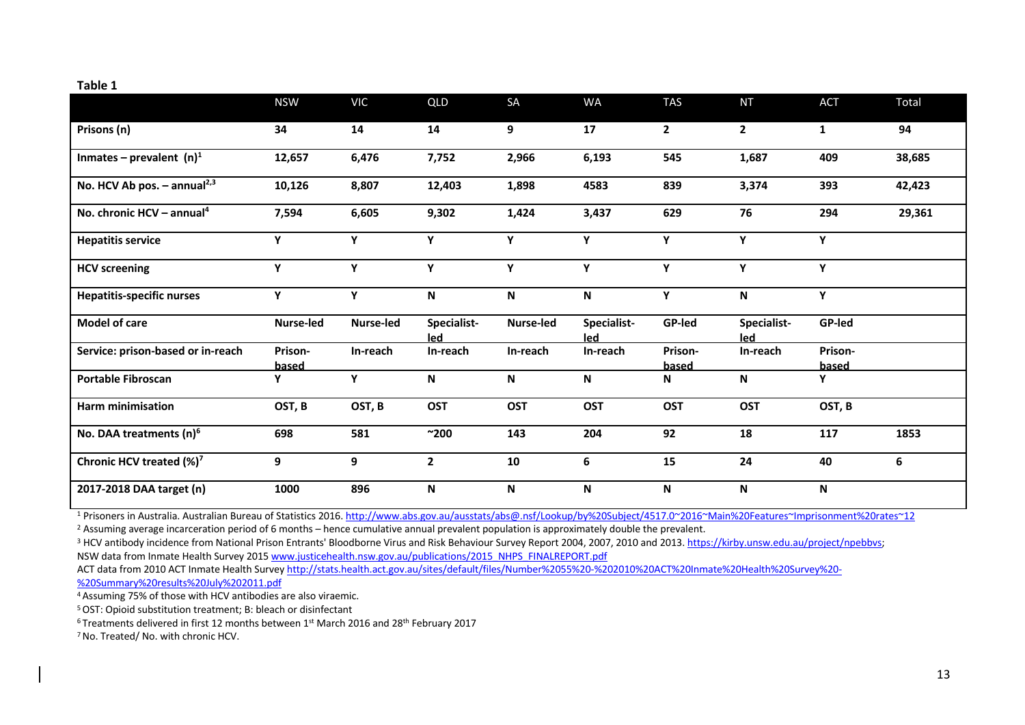#### **Table 1**

|                                           | <b>NSW</b>       | <b>VIC</b> | <b>QLD</b>                | SA           | <b>WA</b>          | <b>TAS</b>       | <b>NT</b>          | <b>ACT</b>       | Total  |
|-------------------------------------------|------------------|------------|---------------------------|--------------|--------------------|------------------|--------------------|------------------|--------|
| Prisons (n)                               | 34               | 14         | 14                        | 9            | 17                 | $\overline{2}$   | $\mathbf{2}$       | $\mathbf{1}$     | 94     |
| Inmates – prevalent $(n)^1$               | 12,657           | 6,476      | 7,752                     | 2,966        | 6,193              | 545              | 1,687              | 409              | 38,685 |
| No. HCV Ab pos. $-$ annual <sup>2,3</sup> | 10,126           | 8,807      | 12,403                    | 1,898        | 4583               | 839              | 3,374              | 393              | 42,423 |
| No. chronic $HCV - annual4$               | 7,594            | 6,605      | 9,302                     | 1,424        | 3,437              | 629              | 76                 | 294              | 29,361 |
| <b>Hepatitis service</b>                  | Y                | Y          | Y                         | Y            | Y                  | Y                | Y                  | Y                |        |
| <b>HCV screening</b>                      | Υ                | Y          | Υ                         | Y            | Υ                  | Y                | Y                  | Y                |        |
| <b>Hepatitis-specific nurses</b>          | Y                | Y          | $\boldsymbol{\mathsf{N}}$ | $\mathsf{N}$ | N                  | Y                | N                  | Y                |        |
| <b>Model of care</b>                      | Nurse-led        | Nurse-led  | Specialist-<br>led        | Nurse-led    | Specialist-<br>led | GP-led           | Specialist-<br>led | GP-led           |        |
| Service: prison-based or in-reach         | Prison-<br>based | In-reach   | In-reach                  | In-reach     | In-reach           | Prison-<br>based | In-reach           | Prison-<br>based |        |
| <b>Portable Fibroscan</b>                 | Y                | Y          | N                         | N            | N                  | N                | N                  | Y                |        |
| <b>Harm minimisation</b>                  | OST, B           | OST, B     | <b>OST</b>                | <b>OST</b>   | <b>OST</b>         | <b>OST</b>       | <b>OST</b>         | OST, B           |        |
| No. DAA treatments (n) <sup>6</sup>       | 698              | 581        | $^{\sim}$ 200             | 143          | 204                | 92               | 18                 | 117              | 1853   |
| Chronic HCV treated (%) <sup>7</sup>      | 9                | 9          | $\mathbf{2}$              | 10           | 6                  | 15               | 24                 | 40               | 6      |
| 2017-2018 DAA target (n)                  | 1000             | 896        | N                         | N            | N                  | N                | N                  | Ν                |        |

<sup>1</sup> Prisoners in Australia. Australian Bureau of Statistics 2016. http://www.abs.gov.au/ausstats/abs@.nsf/Lookup/by%20Subject/4517.0~2016~Main%20Features~Imprisonment%20rates~12<br><sup>2</sup> Assuming average incarceration period of

<sup>3</sup> HCV antibody incidence from National Prison Entrants' Bloodborne Virus and Risk Behaviour Survey Report 2004, 2007, 2010 and 2013. https://kirby.unsw.edu.au/project/npebbys; NSW data from Inmate Health Survey 2015 www.justicehealth.nsw.gov.au/publications/2015\_NHPS\_FINALREPORT.pdf

ACT data from 2010 ACT Inmate Health Survey http://stats.health.act.gov.au/sites/default/files/Number%2055%20-%202010%20ACT%20Inmate%20Health%20Survey%20- %20Summary%20results%20July%202011.pdf

4 Assuming 75% of those with HCV antibodies are also viraemic.

5OST: Opioid substitution treatment; B: bleach or disinfectant

<sup>6</sup> Treatments delivered in first 12 months between 1st March 2016 and 28th February 2017

7No. Treated/ No. with chronic HCV.